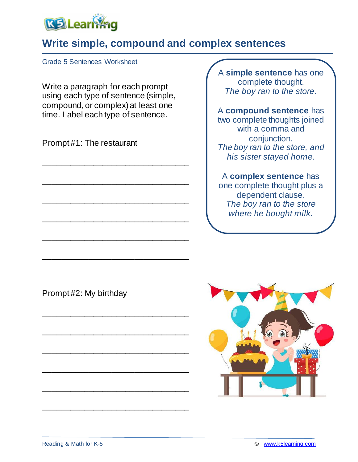

## **Write simple, compound and complex sentences**

Grade 5 Sentences Worksheet

Write a paragraph for each prompt using each type of sentence (simple, compound, or complex) at least one time. Label each type of sentence.

\_\_\_\_\_\_\_\_\_\_\_\_\_\_\_\_\_\_\_\_\_\_\_\_\_\_\_\_\_\_\_\_

\_\_\_\_\_\_\_\_\_\_\_\_\_\_\_\_\_\_\_\_\_\_\_\_\_\_\_\_\_\_\_\_

\_\_\_\_\_\_\_\_\_\_\_\_\_\_\_\_\_\_\_\_\_\_\_\_\_\_\_\_\_\_\_\_

\_\_\_\_\_\_\_\_\_\_\_\_\_\_\_\_\_\_\_\_\_\_\_\_\_\_\_\_\_\_\_\_

\_\_\_\_\_\_\_\_\_\_\_\_\_\_\_\_\_\_\_\_\_\_\_\_\_\_\_\_\_\_\_\_

\_\_\_\_\_\_\_\_\_\_\_\_\_\_\_\_\_\_\_\_\_\_\_\_\_\_\_\_\_\_\_\_

\_\_\_\_\_\_\_\_\_\_\_\_\_\_\_\_\_\_\_\_\_\_\_\_\_\_\_\_\_\_\_\_

\_\_\_\_\_\_\_\_\_\_\_\_\_\_\_\_\_\_\_\_\_\_\_\_\_\_\_\_\_\_\_\_

\_\_\_\_\_\_\_\_\_\_\_\_\_\_\_\_\_\_\_\_\_\_\_\_\_\_\_\_\_\_\_\_

\_\_\_\_\_\_\_\_\_\_\_\_\_\_\_\_\_\_\_\_\_\_\_\_\_\_\_\_\_\_\_\_

\_\_\_\_\_\_\_\_\_\_\_\_\_\_\_\_\_\_\_\_\_\_\_\_\_\_\_\_\_\_\_\_

\_\_\_\_\_\_\_\_\_\_\_\_\_\_\_\_\_\_\_\_\_\_\_\_\_\_\_\_\_\_\_\_

Prompt #1: The restaurant

A **simple sentence** has one complete thought. *The boy ran to the store.*

A **compound sentence** has two complete thoughts joined with a comma and conjunction. *The boy ran to the store, and his sister stayed home.*

### A **complex sentence** has

one complete thought plus a dependent clause. *The boy ran to the store where he bought milk.*

Prompt #2: My birthday